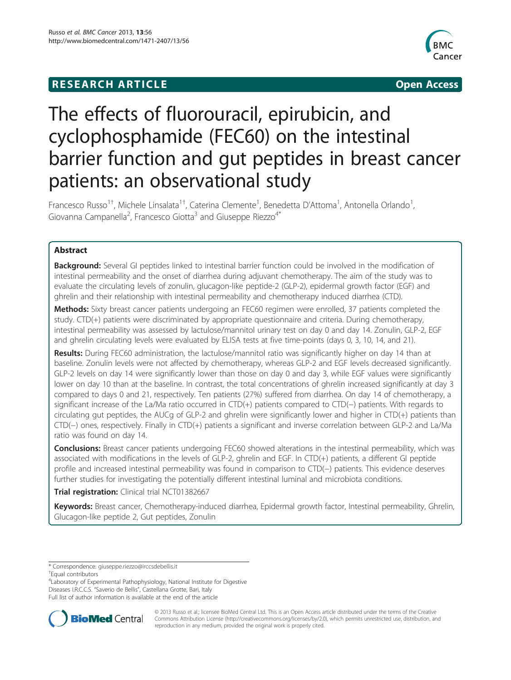## **RESEARCH ARTICLE Example 2008 CONSIDERING CONSIDERING CONSIDERING CONSIDERING CONSIDERING CONSIDERING CONSIDERING CONSIDERING CONSIDERING CONSIDERING CONSIDERING CONSIDERING CONSIDERING CONSIDERING CONSIDERING CONSIDE**



# The effects of fluorouracil, epirubicin, and cyclophosphamide (FEC60) on the intestinal barrier function and gut peptides in breast cancer patients: an observational study

Francesco Russo<sup>1†</sup>, Michele Linsalata<sup>1†</sup>, Caterina Clemente<sup>1</sup>, Benedetta D'Attoma<sup>1</sup>, Antonella Orlando<sup>1</sup> , Giovanna Campanella<sup>2</sup>, Francesco Giotta<sup>3</sup> and Giuseppe Riezzo<sup>4\*</sup>

### Abstract

Background: Several GI peptides linked to intestinal barrier function could be involved in the modification of intestinal permeability and the onset of diarrhea during adjuvant chemotherapy. The aim of the study was to evaluate the circulating levels of zonulin, glucagon-like peptide-2 (GLP-2), epidermal growth factor (EGF) and ghrelin and their relationship with intestinal permeability and chemotherapy induced diarrhea (CTD).

Methods: Sixty breast cancer patients undergoing an FEC60 regimen were enrolled, 37 patients completed the study. CTD(+) patients were discriminated by appropriate questionnaire and criteria. During chemotherapy, intestinal permeability was assessed by lactulose/mannitol urinary test on day 0 and day 14. Zonulin, GLP-2, EGF and ghrelin circulating levels were evaluated by ELISA tests at five time-points (days 0, 3, 10, 14, and 21).

Results: During FEC60 administration, the lactulose/mannitol ratio was significantly higher on day 14 than at baseline. Zonulin levels were not affected by chemotherapy, whereas GLP-2 and EGF levels decreased significantly. GLP-2 levels on day 14 were significantly lower than those on day 0 and day 3, while EGF values were significantly lower on day 10 than at the baseline. In contrast, the total concentrations of ghrelin increased significantly at day 3 compared to days 0 and 21, respectively. Ten patients (27%) suffered from diarrhea. On day 14 of chemotherapy, a significant increase of the La/Ma ratio occurred in CTD(+) patients compared to CTD(−) patients. With regards to circulating gut peptides, the AUCg of GLP-2 and ghrelin were significantly lower and higher in CTD(+) patients than CTD(−) ones, respectively. Finally in CTD(+) patients a significant and inverse correlation between GLP-2 and La/Ma ratio was found on day 14.

Conclusions: Breast cancer patients undergoing FEC60 showed alterations in the intestinal permeability, which was associated with modifications in the levels of GLP-2, ghrelin and EGF. In CTD(+) patients, a different GI peptide profile and increased intestinal permeability was found in comparison to CTD(−) patients. This evidence deserves further studies for investigating the potentially different intestinal luminal and microbiota conditions.

Trial registration: Clinical trial NCT01382667

Keywords: Breast cancer, Chemotherapy-induced diarrhea, Epidermal growth factor, Intestinal permeability, Ghrelin, Glucagon-like peptide 2, Gut peptides, Zonulin

Equal contributors

4 Laboratory of Experimental Pathophysiology, National Institute for Digestive Diseases I.R.C.C.S. "Saverio de Bellis", Castellana Grotte, Bari, Italy Full list of author information is available at the end of the article



© 2013 Russo et al.; licensee BioMed Central Ltd. This is an Open Access article distributed under the terms of the Creative Commons Attribution License [\(http://creativecommons.org/licenses/by/2.0\)](http://creativecommons.org/licenses/by/2.0), which permits unrestricted use, distribution, and reproduction in any medium, provided the original work is properly cited.

<sup>\*</sup> Correspondence: [giuseppe.riezzo@irccsdebellis.it](mailto:giuseppe.riezzo@irccsdebellis.it) †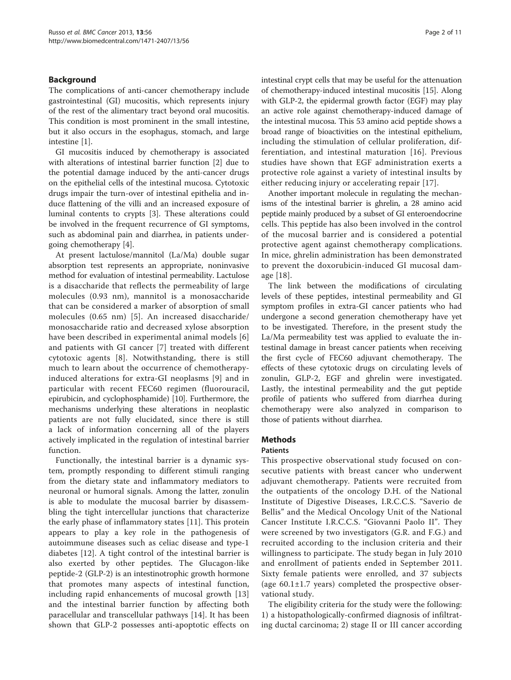#### Background

The complications of anti-cancer chemotherapy include gastrointestinal (GI) mucositis, which represents injury of the rest of the alimentary tract beyond oral mucositis. This condition is most prominent in the small intestine, but it also occurs in the esophagus, stomach, and large intestine [[1\]](#page-9-0).

GI mucositis induced by chemotherapy is associated with alterations of intestinal barrier function [\[2](#page-9-0)] due to the potential damage induced by the anti-cancer drugs on the epithelial cells of the intestinal mucosa. Cytotoxic drugs impair the turn-over of intestinal epithelia and induce flattening of the villi and an increased exposure of luminal contents to crypts [\[3\]](#page-9-0). These alterations could be involved in the frequent recurrence of GI symptoms, such as abdominal pain and diarrhea, in patients undergoing chemotherapy [\[4](#page-9-0)].

At present lactulose/mannitol (La/Ma) double sugar absorption test represents an appropriate, noninvasive method for evaluation of intestinal permeability. Lactulose is a disaccharide that reflects the permeability of large molecules (0.93 nm), mannitol is a monosaccharide that can be considered a marker of absorption of small molecules (0.65 nm) [[5\]](#page-9-0). An increased disaccharide/ monosaccharide ratio and decreased xylose absorption have been described in experimental animal models [\[6](#page-9-0)] and patients with GI cancer [[7](#page-9-0)] treated with different cytotoxic agents [[8](#page-9-0)]. Notwithstanding, there is still much to learn about the occurrence of chemotherapyinduced alterations for extra-GI neoplasms [[9\]](#page-9-0) and in particular with recent FEC60 regimen (fluorouracil, epirubicin, and cyclophosphamide) [[10](#page-9-0)]. Furthermore, the mechanisms underlying these alterations in neoplastic patients are not fully elucidated, since there is still a lack of information concerning all of the players actively implicated in the regulation of intestinal barrier function.

Functionally, the intestinal barrier is a dynamic system, promptly responding to different stimuli ranging from the dietary state and inflammatory mediators to neuronal or humoral signals. Among the latter, zonulin is able to modulate the mucosal barrier by disassembling the tight intercellular junctions that characterize the early phase of inflammatory states [[11\]](#page-9-0). This protein appears to play a key role in the pathogenesis of autoimmune diseases such as celiac disease and type-1 diabetes [[12](#page-9-0)]. A tight control of the intestinal barrier is also exerted by other peptides. The Glucagon-like peptide-2 (GLP-2) is an intestinotrophic growth hormone that promotes many aspects of intestinal function, including rapid enhancements of mucosal growth [\[13](#page-9-0)] and the intestinal barrier function by affecting both paracellular and transcellular pathways [[14\]](#page-9-0). It has been shown that GLP-2 possesses anti-apoptotic effects on intestinal crypt cells that may be useful for the attenuation of chemotherapy-induced intestinal mucositis [\[15\]](#page-9-0). Along with GLP-2, the epidermal growth factor (EGF) may play an active role against chemotherapy-induced damage of the intestinal mucosa. This 53 amino acid peptide shows a broad range of bioactivities on the intestinal epithelium, including the stimulation of cellular proliferation, differentiation, and intestinal maturation [\[16\]](#page-9-0). Previous studies have shown that EGF administration exerts a protective role against a variety of intestinal insults by either reducing injury or accelerating repair [[17\]](#page-9-0).

Another important molecule in regulating the mechanisms of the intestinal barrier is ghrelin, a 28 amino acid peptide mainly produced by a subset of GI enteroendocrine cells. This peptide has also been involved in the control of the mucosal barrier and is considered a potential protective agent against chemotherapy complications. In mice, ghrelin administration has been demonstrated to prevent the doxorubicin-induced GI mucosal damage [[18\]](#page-9-0).

The link between the modifications of circulating levels of these peptides, intestinal permeability and GI symptom profiles in extra-GI cancer patients who had undergone a second generation chemotherapy have yet to be investigated. Therefore, in the present study the La/Ma permeability test was applied to evaluate the intestinal damage in breast cancer patients when receiving the first cycle of FEC60 adjuvant chemotherapy. The effects of these cytotoxic drugs on circulating levels of zonulin, GLP-2, EGF and ghrelin were investigated. Lastly, the intestinal permeability and the gut peptide profile of patients who suffered from diarrhea during chemotherapy were also analyzed in comparison to those of patients without diarrhea.

### Methods

#### Patients

This prospective observational study focused on consecutive patients with breast cancer who underwent adjuvant chemotherapy. Patients were recruited from the outpatients of the oncology D.H. of the National Institute of Digestive Diseases, I.R.C.C.S. "Saverio de Bellis" and the Medical Oncology Unit of the National Cancer Institute I.R.C.C.S. "Giovanni Paolo II". They were screened by two investigators (G.R. and F.G.) and recruited according to the inclusion criteria and their willingness to participate. The study began in July 2010 and enrollment of patients ended in September 2011. Sixty female patients were enrolled, and 37 subjects (age  $60.1 \pm 1.7$  years) completed the prospective observational study.

The eligibility criteria for the study were the following: 1) a histopathologically-confirmed diagnosis of infiltrating ductal carcinoma; 2) stage II or III cancer according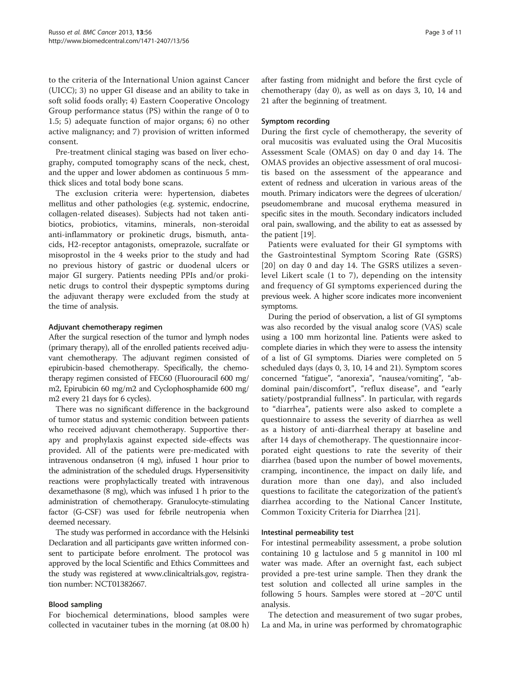to the criteria of the International Union against Cancer (UICC); 3) no upper GI disease and an ability to take in soft solid foods orally; 4) Eastern Cooperative Oncology Group performance status (PS) within the range of 0 to 1.5; 5) adequate function of major organs; 6) no other active malignancy; and 7) provision of written informed consent.

Pre-treatment clinical staging was based on liver echography, computed tomography scans of the neck, chest, and the upper and lower abdomen as continuous 5 mmthick slices and total body bone scans.

The exclusion criteria were: hypertension, diabetes mellitus and other pathologies (e.g. systemic, endocrine, collagen-related diseases). Subjects had not taken antibiotics, probiotics, vitamins, minerals, non-steroidal anti-inflammatory or prokinetic drugs, bismuth, antacids, H2-receptor antagonists, omeprazole, sucralfate or misoprostol in the 4 weeks prior to the study and had no previous history of gastric or duodenal ulcers or major GI surgery. Patients needing PPIs and/or prokinetic drugs to control their dyspeptic symptoms during the adjuvant therapy were excluded from the study at the time of analysis.

#### Adjuvant chemotherapy regimen

After the surgical resection of the tumor and lymph nodes (primary therapy), all of the enrolled patients received adjuvant chemotherapy. The adjuvant regimen consisted of epirubicin-based chemotherapy. Specifically, the chemotherapy regimen consisted of FEC60 (Fluorouracil 600 mg/ m2, Epirubicin 60 mg/m2 and Cyclophosphamide 600 mg/ m2 every 21 days for 6 cycles).

There was no significant difference in the background of tumor status and systemic condition between patients who received adjuvant chemotherapy. Supportive therapy and prophylaxis against expected side-effects was provided. All of the patients were pre-medicated with intravenous ondansetron (4 mg), infused 1 hour prior to the administration of the scheduled drugs. Hypersensitivity reactions were prophylactically treated with intravenous dexamethasone (8 mg), which was infused 1 h prior to the administration of chemotherapy. Granulocyte-stimulating factor (G-CSF) was used for febrile neutropenia when deemed necessary.

The study was performed in accordance with the Helsinki Declaration and all participants gave written informed consent to participate before enrolment. The protocol was approved by the local Scientific and Ethics Committees and the study was registered at [www.clinicaltrials.gov,](http://www.clinicaltrials.gov/) registration number: NCT01382667.

#### Blood sampling

For biochemical determinations, blood samples were collected in vacutainer tubes in the morning (at 08.00 h)

#### Symptom recording

During the first cycle of chemotherapy, the severity of oral mucositis was evaluated using the Oral Mucositis Assessment Scale (OMAS) on day 0 and day 14. The OMAS provides an objective assessment of oral mucositis based on the assessment of the appearance and extent of redness and ulceration in various areas of the mouth. Primary indicators were the degrees of ulceration/ pseudomembrane and mucosal erythema measured in specific sites in the mouth. Secondary indicators included oral pain, swallowing, and the ability to eat as assessed by the patient [\[19](#page-9-0)].

Patients were evaluated for their GI symptoms with the Gastrointestinal Symptom Scoring Rate (GSRS) [[20](#page-9-0)] on day 0 and day 14. The GSRS utilizes a sevenlevel Likert scale (1 to 7), depending on the intensity and frequency of GI symptoms experienced during the previous week. A higher score indicates more inconvenient symptoms.

During the period of observation, a list of GI symptoms was also recorded by the visual analog score (VAS) scale using a 100 mm horizontal line. Patients were asked to complete diaries in which they were to assess the intensity of a list of GI symptoms. Diaries were completed on 5 scheduled days (days 0, 3, 10, 14 and 21). Symptom scores concerned "fatigue", "anorexia", "nausea/vomiting", "abdominal pain/discomfort", "reflux disease", and "early satiety/postprandial fullness". In particular, with regards to "diarrhea", patients were also asked to complete a questionnaire to assess the severity of diarrhea as well as a history of anti-diarrheal therapy at baseline and after 14 days of chemotherapy. The questionnaire incorporated eight questions to rate the severity of their diarrhea (based upon the number of bowel movements, cramping, incontinence, the impact on daily life, and duration more than one day), and also included questions to facilitate the categorization of the patient's diarrhea according to the National Cancer Institute, Common Toxicity Criteria for Diarrhea [[21\]](#page-9-0).

#### Intestinal permeability test

For intestinal permeability assessment, a probe solution containing 10 g lactulose and 5 g mannitol in 100 ml water was made. After an overnight fast, each subject provided a pre-test urine sample. Then they drank the test solution and collected all urine samples in the following 5 hours. Samples were stored at −20°C until analysis.

The detection and measurement of two sugar probes, La and Ma, in urine was performed by chromatographic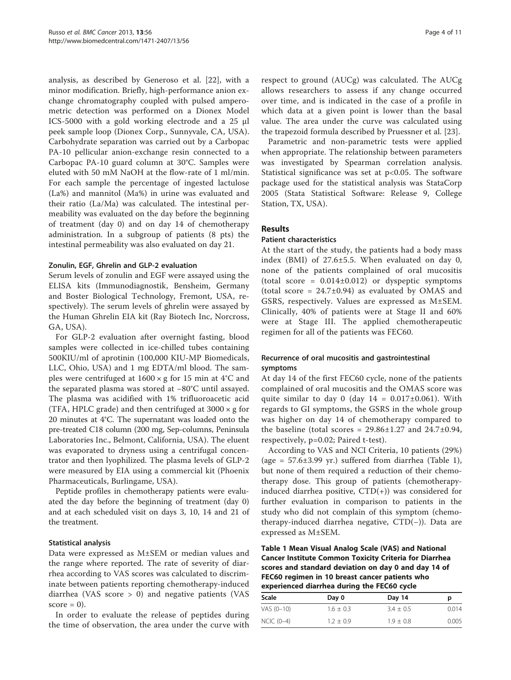analysis, as described by Generoso et al. [[22\]](#page-9-0), with a minor modification. Briefly, high-performance anion exchange chromatography coupled with pulsed amperometric detection was performed on a Dionex Model ICS-5000 with a gold working electrode and a 25 μl peek sample loop (Dionex Corp., Sunnyvale, CA, USA). Carbohydrate separation was carried out by a Carbopac PA-10 pellicular anion-exchange resin connected to a Carbopac PA-10 guard column at 30°C. Samples were eluted with 50 mM NaOH at the flow-rate of 1 ml/min. For each sample the percentage of ingested lactulose (La%) and mannitol (Ma%) in urine was evaluated and their ratio (La/Ma) was calculated. The intestinal permeability was evaluated on the day before the beginning of treatment (day 0) and on day 14 of chemotherapy administration. In a subgroup of patients (8 pts) the intestinal permeability was also evaluated on day 21.

#### Zonulin, EGF, Ghrelin and GLP-2 evaluation

Serum levels of zonulin and EGF were assayed using the ELISA kits (Immunodiagnostik, Bensheim, Germany and Boster Biological Technology, Fremont, USA, respectively). The serum levels of ghrelin were assayed by the Human Ghrelin EIA kit (Ray Biotech Inc, Norcross, GA, USA).

For GLP-2 evaluation after overnight fasting, blood samples were collected in ice-chilled tubes containing 500KIU/ml of aprotinin (100,000 KIU-MP Biomedicals, LLC, Ohio, USA) and 1 mg EDTA/ml blood. The samples were centrifuged at  $1600 \times g$  for 15 min at 4°C and the separated plasma was stored at −80°C until assayed. The plasma was acidified with 1% trifluoroacetic acid (TFA, HPLC grade) and then centrifuged at  $3000 \times g$  for 20 minutes at 4°C. The supernatant was loaded onto the pre-treated C18 column (200 mg, Sep-columns, Peninsula Laboratories Inc., Belmont, California, USA). The eluent was evaporated to dryness using a centrifugal concentrator and then lyophilized. The plasma levels of GLP-2 were measured by EIA using a commercial kit (Phoenix Pharmaceuticals, Burlingame, USA).

Peptide profiles in chemotherapy patients were evaluated the day before the beginning of treatment (day 0) and at each scheduled visit on days 3, 10, 14 and 21 of the treatment.

#### Statistical analysis

Data were expressed as M±SEM or median values and the range where reported. The rate of severity of diarrhea according to VAS scores was calculated to discriminate between patients reporting chemotherapy-induced diarrhea (VAS score > 0) and negative patients (VAS  $score = 0$ ).

In order to evaluate the release of peptides during the time of observation, the area under the curve with respect to ground (AUCg) was calculated. The AUCg allows researchers to assess if any change occurred over time, and is indicated in the case of a profile in which data at a given point is lower than the basal value. The area under the curve was calculated using the trapezoid formula described by Pruessner et al. [[23](#page-9-0)].

Parametric and non-parametric tests were applied when appropriate. The relationship between parameters was investigated by Spearman correlation analysis. Statistical significance was set at p<0.05. The software package used for the statistical analysis was StataCorp 2005 (Stata Statistical Software: Release 9, College Station, TX, USA).

#### Results

#### Patient characteristics

At the start of the study, the patients had a body mass index (BMI) of 27.6±5.5. When evaluated on day 0, none of the patients complained of oral mucositis (total score =  $0.014\pm0.012$ ) or dyspeptic symptoms (total score =  $24.7\pm0.94$ ) as evaluated by OMAS and GSRS, respectively. Values are expressed as M±SEM. Clinically, 40% of patients were at Stage II and 60% were at Stage III. The applied chemotherapeutic regimen for all of the patients was FEC60.

#### Recurrence of oral mucositis and gastrointestinal symptoms

At day 14 of the first FEC60 cycle, none of the patients complained of oral mucositis and the OMAS score was quite similar to day 0 (day  $14 = 0.017 \pm 0.061$ ). With regards to GI symptoms, the GSRS in the whole group was higher on day 14 of chemotherapy compared to the baseline (total scores =  $29.86 \pm 1.27$  and  $24.7 \pm 0.94$ , respectively, p=0.02; Paired t-test).

According to VAS and NCI Criteria, 10 patients (29%) (age =  $57.6 \pm 3.99$  yr.) suffered from diarrhea (Table 1), but none of them required a reduction of their chemotherapy dose. This group of patients (chemotherapyinduced diarrhea positive,  $CTD(+)$ ) was considered for further evaluation in comparison to patients in the study who did not complain of this symptom (chemotherapy-induced diarrhea negative, CTD(−)). Data are expressed as M±SEM.

Table 1 Mean Visual Analog Scale (VAS) and National Cancer Institute Common Toxicity Criteria for Diarrhea scores and standard deviation on day 0 and day 14 of FEC60 regimen in 10 breast cancer patients who experienced diarrhea during the FEC60 cycle

| Day 0         | Day 14        | р     |  |
|---------------|---------------|-------|--|
| $1.6 \pm 0.3$ | $3.4 + 0.5$   | 0.014 |  |
| $1.2 \pm 0.9$ | $1.9 \pm 0.8$ | 0.005 |  |
|               |               |       |  |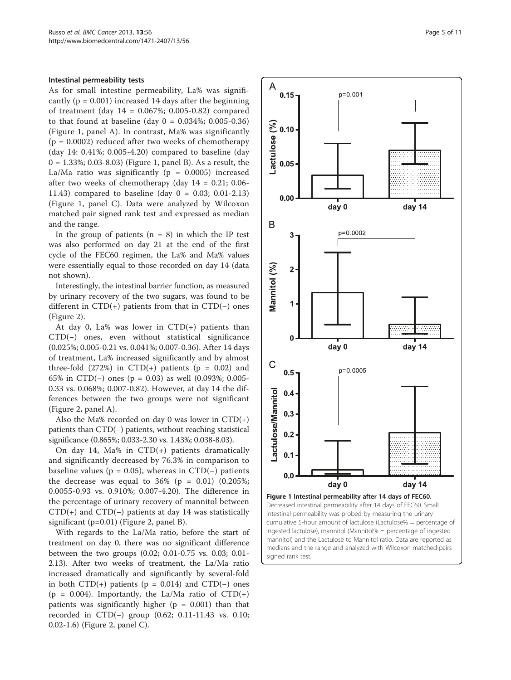#### Intestinal permeability tests

As for small intestine permeability, La% was significantly ( $p = 0.001$ ) increased 14 days after the beginning of treatment (day 14 = 0.067%; 0.005-0.82) compared to that found at baseline (day  $0 = 0.034\%$ ; 0.005-0.36) (Figure 1, panel A). In contrast, Ma% was significantly  $(p = 0.0002)$  reduced after two weeks of chemotherapy (day 14: 0.41%; 0.005-4.20) compared to baseline (day 0 = 1.33%; 0.03-8.03) (Figure 1, panel B). As a result, the La/Ma ratio was significantly ( $p = 0.0005$ ) increased after two weeks of chemotherapy (day  $14 = 0.21$ ; 0.06-11.43) compared to baseline (day 0 = 0.03; 0.01-2.13) (Figure 1, panel C). Data were analyzed by Wilcoxon matched pair signed rank test and expressed as median and the range.

In the group of patients  $(n = 8)$  in which the IP test was also performed on day 21 at the end of the first cycle of the FEC60 regimen, the La% and Ma% values were essentially equal to those recorded on day 14 (data not shown).

Interestingly, the intestinal barrier function, as measured by urinary recovery of the two sugars, was found to be different in CTD(+) patients from that in CTD(−) ones (Figure [2\)](#page-5-0).

At day 0, La% was lower in  $CTD(+)$  patients than CTD(−) ones, even without statistical significance (0.025%; 0.005-0.21 vs. 0.041%; 0.007-0.36). After 14 days of treatment, La% increased significantly and by almost three-fold  $(272%)$  in  $CTD(+)$  patients (p = 0.02) and 65% in CTD(−) ones (p = 0.03) as well (0.093%; 0.005- 0.33 vs. 0.068%; 0.007-0.82). However, at day 14 the differences between the two groups were not significant (Figure [2,](#page-5-0) panel A).

Also the Ma% recorded on day 0 was lower in  $CTD(+)$ patients than CTD(−) patients, without reaching statistical significance (0.865%; 0.033-2.30 vs. 1.43%; 0.038-8.03).

On day 14, Ma% in CTD(+) patients dramatically and significantly decreased by 76.3% in comparison to baseline values ( $p = 0.05$ ), whereas in CTD( $-$ ) patients the decrease was equal to  $36\%$  (p = 0.01) (0.205%; 0.0055-0.93 vs. 0.910%; 0.007-4.20). The difference in the percentage of urinary recovery of mannitol between  $CTD(+)$  and  $CTD(-)$  patients at day 14 was statistically significant (p=0.01) (Figure [2,](#page-5-0) panel B).

With regards to the La/Ma ratio, before the start of treatment on day 0, there was no significant difference between the two groups (0.02; 0.01-0.75 vs. 0.03; 0.01- 2.13). After two weeks of treatment, the La/Ma ratio increased dramatically and significantly by several-fold in both CTD(+) patients (p = 0.014) and CTD(−) ones (p = 0.004). Importantly, the La/Ma ratio of  $CTD(+)$ patients was significantly higher ( $p = 0.001$ ) than that recorded in CTD(−) group (0.62; 0.11-11.43 vs. 0.10; 0.02-1.6) (Figure [2](#page-5-0), panel C).



Figure 1 Intestinal permeability after 14 days of FEC60. Decreased intestinal permeability after 14 days of FEC60. Small intestinal permeability was probed by measuring the urinary cumulative 5-hour amount of lactulose (Lactulose% = percentage of ingested lactulose), mannitol (Mannitol% = percentage of ingested mannitol) and the Lactulose to Mannitol ratio. Data are reported as medians and the range and analyzed with Wilcoxon matched-pairs signed rank test.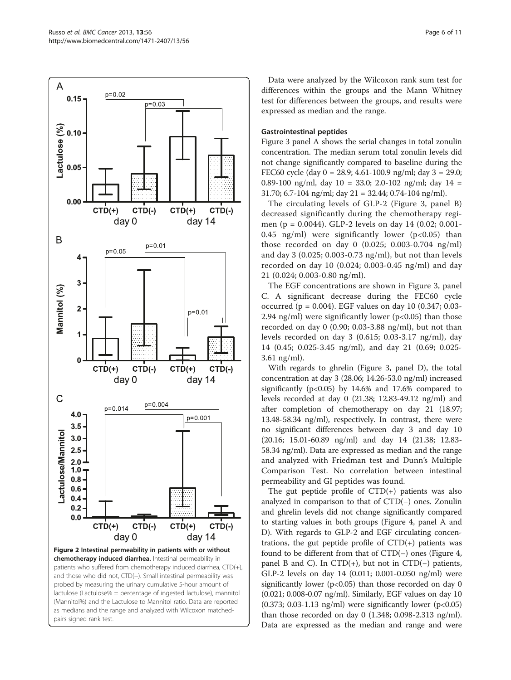<span id="page-5-0"></span>

Data were analyzed by the Wilcoxon rank sum test for differences within the groups and the Mann Whitney test for differences between the groups, and results were expressed as median and the range.

#### Gastrointestinal peptides

Figure [3](#page-6-0) panel A shows the serial changes in total zonulin concentration. The median serum total zonulin levels did not change significantly compared to baseline during the FEC60 cycle (day 0 = 28.9; 4.61-100.9 ng/ml; day 3 = 29.0; 0.89-100 ng/ml, day  $10 = 33.0$ ; 2.0-102 ng/ml; day  $14 =$ 31.70; 6.7-104 ng/ml; day 21 = 32.44; 0.74-104 ng/ml).

The circulating levels of GLP-2 (Figure [3](#page-6-0), panel B) decreased significantly during the chemotherapy regimen (p = 0.0044). GLP-2 levels on day 14 (0.02; 0.001- 0.45 ng/ml) were significantly lower ( $p<0.05$ ) than those recorded on day 0 (0.025; 0.003-0.704 ng/ml) and day 3 (0.025; 0.003-0.73 ng/ml), but not than levels recorded on day 10 (0.024; 0.003-0.45 ng/ml) and day 21 (0.024; 0.003-0.80 ng/ml).

The EGF concentrations are shown in Figure [3,](#page-6-0) panel C. A significant decrease during the FEC60 cycle occurred (p = 0.004). EGF values on day 10 (0.347; 0.03- 2.94 ng/ml) were significantly lower ( $p<0.05$ ) than those recorded on day 0 (0.90; 0.03-3.88 ng/ml), but not than levels recorded on day 3 (0.615; 0.03-3.17 ng/ml), day 14 (0.45; 0.025-3.45 ng/ml), and day 21 (0.69; 0.025- 3.61 ng/ml).

With regards to ghrelin (Figure [3](#page-6-0), panel D), the total concentration at day 3 (28.06; 14.26-53.0 ng/ml) increased significantly ( $p<0.05$ ) by 14.6% and 17.6% compared to levels recorded at day 0 (21.38; 12.83-49.12 ng/ml) and after completion of chemotherapy on day 21 (18.97; 13.48-58.34 ng/ml), respectively. In contrast, there were no significant differences between day 3 and day 10 (20.16; 15.01-60.89 ng/ml) and day 14 (21.38; 12.83- 58.34 ng/ml). Data are expressed as median and the range and analyzed with Friedman test and Dunn's Multiple Comparison Test. No correlation between intestinal permeability and GI peptides was found.

The gut peptide profile of  $CTD(+)$  patients was also analyzed in comparison to that of CTD(−) ones. Zonulin and ghrelin levels did not change significantly compared to starting values in both groups (Figure [4](#page-7-0), panel A and D). With regards to GLP-2 and EGF circulating concentrations, the gut peptide profile of  $CTD(+)$  patients was found to be different from that of CTD(−) ones (Figure [4](#page-7-0), panel B and C). In CTD(+), but not in CTD(−) patients, GLP-2 levels on day 14 (0.011; 0.001-0.050 ng/ml) were significantly lower ( $p<0.05$ ) than those recorded on day 0 (0.021; 0.008-0.07 ng/ml). Similarly, EGF values on day 10  $(0.373; 0.03-1.13 \text{ ng/ml})$  were significantly lower  $(p<0.05)$ than those recorded on day 0 (1.348; 0.098-2.313 ng/ml). Data are expressed as the median and range and were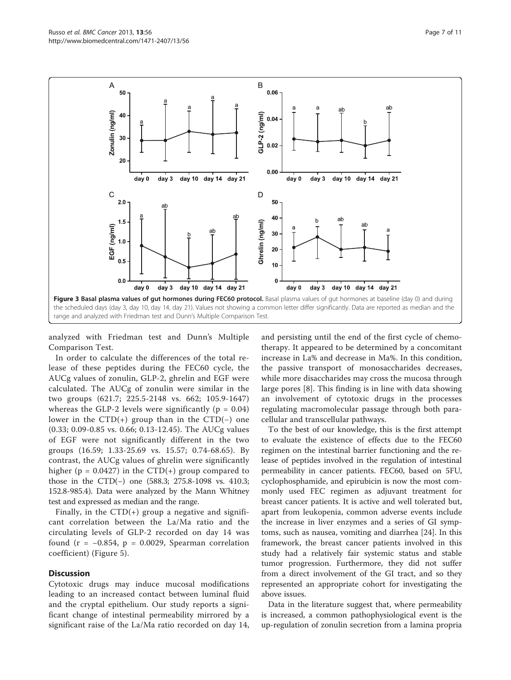<span id="page-6-0"></span>

analyzed with Friedman test and Dunn's Multiple Comparison Test.

In order to calculate the differences of the total release of these peptides during the FEC60 cycle, the AUCg values of zonulin, GLP-2, ghrelin and EGF were calculated. The AUCg of zonulin were similar in the two groups (621.7; 225.5-2148 vs. 662; 105.9-1647) whereas the GLP-2 levels were significantly ( $p = 0.04$ ) lower in the CTD(+) group than in the CTD(−) one (0.33; 0.09-0.85 vs. 0.66; 0.13-12.45). The AUCg values of EGF were not significantly different in the two groups (16.59; 1.33-25.69 vs. 15.57; 0.74-68.65). By contrast, the AUCg values of ghrelin were significantly higher ( $p = 0.0427$ ) in the CTD(+) group compared to those in the CTD(−) one (588.3; 275.8-1098 vs. 410.3; 152.8-985.4). Data were analyzed by the Mann Whitney test and expressed as median and the range.

Finally, in the  $CTD(+)$  group a negative and significant correlation between the La/Ma ratio and the circulating levels of GLP-2 recorded on day 14 was found ( $r = -0.854$ ,  $p = 0.0029$ , Spearman correlation coefficient) (Figure [5\)](#page-7-0).

#### **Discussion**

Cytotoxic drugs may induce mucosal modifications leading to an increased contact between luminal fluid and the cryptal epithelium. Our study reports a significant change of intestinal permeability mirrored by a significant raise of the La/Ma ratio recorded on day 14,

and persisting until the end of the first cycle of chemotherapy. It appeared to be determined by a concomitant increase in La% and decrease in Ma%. In this condition, the passive transport of monosaccharides decreases, while more disaccharides may cross the mucosa through large pores [[8\]](#page-9-0). This finding is in line with data showing an involvement of cytotoxic drugs in the processes regulating macromolecular passage through both paracellular and transcellular pathways.

To the best of our knowledge, this is the first attempt to evaluate the existence of effects due to the FEC60 regimen on the intestinal barrier functioning and the release of peptides involved in the regulation of intestinal permeability in cancer patients. FEC60, based on 5FU, cyclophosphamide, and epirubicin is now the most commonly used FEC regimen as adjuvant treatment for breast cancer patients. It is active and well tolerated but, apart from leukopenia, common adverse events include the increase in liver enzymes and a series of GI symptoms, such as nausea, vomiting and diarrhea [[24\]](#page-9-0). In this framework, the breast cancer patients involved in this study had a relatively fair systemic status and stable tumor progression. Furthermore, they did not suffer from a direct involvement of the GI tract, and so they represented an appropriate cohort for investigating the above issues.

Data in the literature suggest that, where permeability is increased, a common pathophysiological event is the up-regulation of zonulin secretion from a lamina propria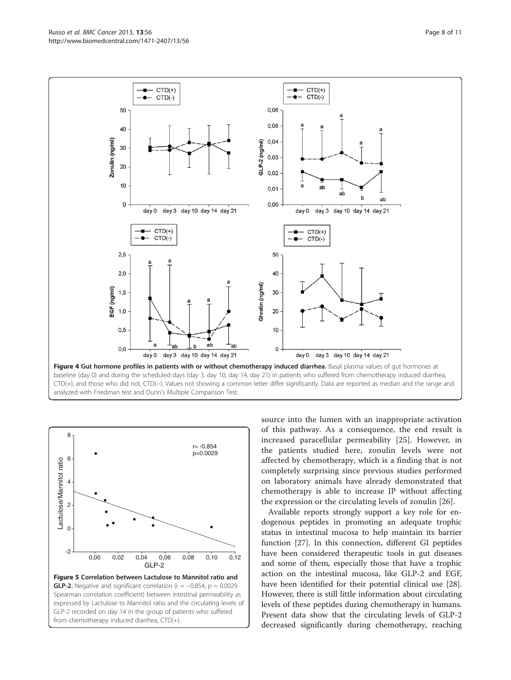<span id="page-7-0"></span>



source into the lumen with an inappropriate activation of this pathway. As a consequence, the end result is increased paracellular permeability [[25\]](#page-9-0). However, in the patients studied here, zonulin levels were not affected by chemotherapy, which is a finding that is not completely surprising since previous studies performed on laboratory animals have already demonstrated that chemotherapy is able to increase IP without affecting the expression or the circulating levels of zonulin [[26](#page-9-0)].

Available reports strongly support a key role for endogenous peptides in promoting an adequate trophic status in intestinal mucosa to help maintain its barrier function [[27](#page-9-0)]. In this connection, different GI peptides have been considered therapeutic tools in gut diseases and some of them, especially those that have a trophic action on the intestinal mucosa, like GLP-2 and EGF, have been identified for their potential clinical use [\[28](#page-9-0)]. However, there is still little information about circulating levels of these peptides during chemotherapy in humans. Present data show that the circulating levels of GLP-2 decreased significantly during chemotherapy, reaching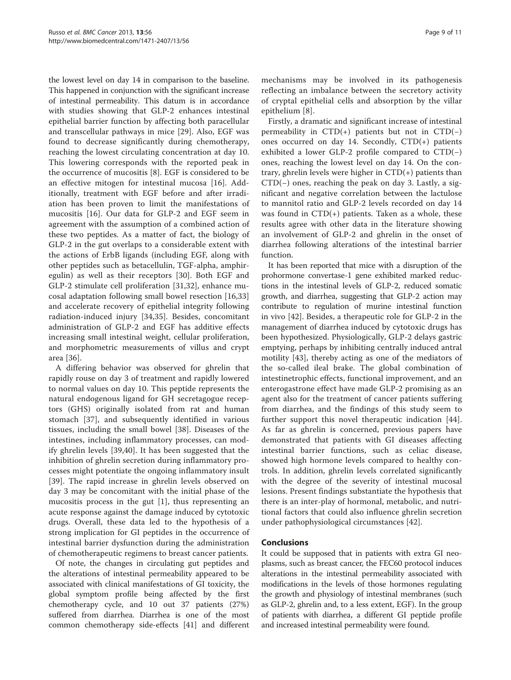the lowest level on day 14 in comparison to the baseline. This happened in conjunction with the significant increase of intestinal permeability. This datum is in accordance with studies showing that GLP-2 enhances intestinal epithelial barrier function by affecting both paracellular and transcellular pathways in mice [\[29](#page-10-0)]. Also, EGF was found to decrease significantly during chemotherapy, reaching the lowest circulating concentration at day 10. This lowering corresponds with the reported peak in the occurrence of mucositis [\[8](#page-9-0)]. EGF is considered to be an effective mitogen for intestinal mucosa [[16](#page-9-0)]. Additionally, treatment with EGF before and after irradiation has been proven to limit the manifestations of mucositis [[16\]](#page-9-0). Our data for GLP-2 and EGF seem in agreement with the assumption of a combined action of these two peptides. As a matter of fact, the biology of GLP-2 in the gut overlaps to a considerable extent with the actions of ErbB ligands (including EGF, along with other peptides such as betacellulin, TGF-alpha, amphiregulin) as well as their receptors [\[30](#page-10-0)]. Both EGF and GLP-2 stimulate cell proliferation [[31,32\]](#page-10-0), enhance mucosal adaptation following small bowel resection [[16](#page-9-0)[,33](#page-10-0)] and accelerate recovery of epithelial integrity following radiation-induced injury [[34,35](#page-10-0)]. Besides, concomitant administration of GLP-2 and EGF has additive effects increasing small intestinal weight, cellular proliferation, and morphometric measurements of villus and crypt area [[36\]](#page-10-0).

A differing behavior was observed for ghrelin that rapidly rouse on day 3 of treatment and rapidly lowered to normal values on day 10. This peptide represents the natural endogenous ligand for GH secretagogue receptors (GHS) originally isolated from rat and human stomach [[37\]](#page-10-0), and subsequently identified in various tissues, including the small bowel [\[38](#page-10-0)]. Diseases of the intestines, including inflammatory processes, can modify ghrelin levels [\[39](#page-10-0),[40\]](#page-10-0). It has been suggested that the inhibition of ghrelin secretion during inflammatory processes might potentiate the ongoing inflammatory insult [[39\]](#page-10-0). The rapid increase in ghrelin levels observed on day 3 may be concomitant with the initial phase of the mucositis process in the gut [\[1](#page-9-0)], thus representing an acute response against the damage induced by cytotoxic drugs. Overall, these data led to the hypothesis of a strong implication for GI peptides in the occurrence of intestinal barrier dysfunction during the administration of chemotherapeutic regimens to breast cancer patients.

Of note, the changes in circulating gut peptides and the alterations of intestinal permeability appeared to be associated with clinical manifestations of GI toxicity, the global symptom profile being affected by the first chemotherapy cycle, and 10 out 37 patients (27%) suffered from diarrhea. Diarrhea is one of the most common chemotherapy side-effects [[41\]](#page-10-0) and different

mechanisms may be involved in its pathogenesis reflecting an imbalance between the secretory activity of cryptal epithelial cells and absorption by the villar epithelium [\[8](#page-9-0)].

Firstly, a dramatic and significant increase of intestinal permeability in  $CTD(+)$  patients but not in  $CTD(-)$ ones occurred on day 14. Secondly, CTD(+) patients exhibited a lower GLP-2 profile compared to CTD(−) ones, reaching the lowest level on day 14. On the contrary, ghrelin levels were higher in CTD(+) patients than CTD(−) ones, reaching the peak on day 3. Lastly, a significant and negative correlation between the lactulose to mannitol ratio and GLP-2 levels recorded on day 14 was found in  $CTD(+)$  patients. Taken as a whole, these results agree with other data in the literature showing an involvement of GLP-2 and ghrelin in the onset of diarrhea following alterations of the intestinal barrier function.

It has been reported that mice with a disruption of the prohormone convertase-1 gene exhibited marked reductions in the intestinal levels of GLP-2, reduced somatic growth, and diarrhea, suggesting that GLP-2 action may contribute to regulation of murine intestinal function in vivo [[42\]](#page-10-0). Besides, a therapeutic role for GLP-2 in the management of diarrhea induced by cytotoxic drugs has been hypothesized. Physiologically, GLP-2 delays gastric emptying, perhaps by inhibiting centrally induced antral motility [[43\]](#page-10-0), thereby acting as one of the mediators of the so-called ileal brake. The global combination of intestinetrophic effects, functional improvement, and an enterogastrone effect have made GLP-2 promising as an agent also for the treatment of cancer patients suffering from diarrhea, and the findings of this study seem to further support this novel therapeutic indication [\[44](#page-10-0)]. As far as ghrelin is concerned, previous papers have demonstrated that patients with GI diseases affecting intestinal barrier functions, such as celiac disease, showed high hormone levels compared to healthy controls. In addition, ghrelin levels correlated significantly with the degree of the severity of intestinal mucosal lesions. Present findings substantiate the hypothesis that there is an inter-play of hormonal, metabolic, and nutritional factors that could also influence ghrelin secretion under pathophysiological circumstances [[42\]](#page-10-0).

#### Conclusions

It could be supposed that in patients with extra GI neoplasms, such as breast cancer, the FEC60 protocol induces alterations in the intestinal permeability associated with modifications in the levels of those hormones regulating the growth and physiology of intestinal membranes (such as GLP-2, ghrelin and, to a less extent, EGF). In the group of patients with diarrhea, a different GI peptide profile and increased intestinal permeability were found.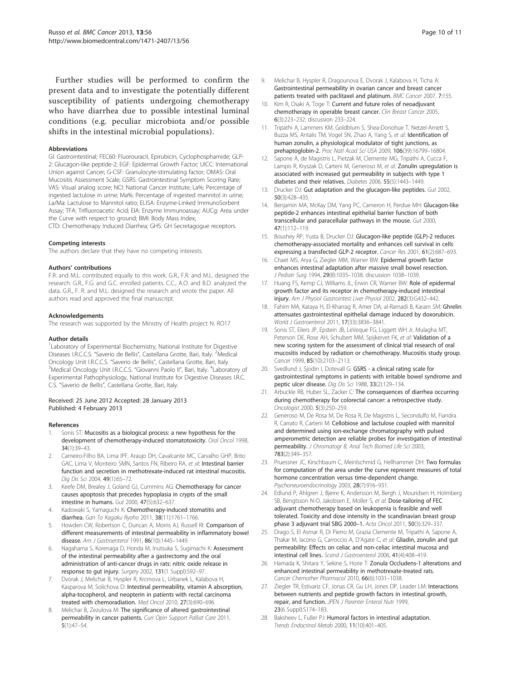<span id="page-9-0"></span>Further studies will be performed to confirm the present data and to investigate the potentially different susceptibility of patients undergoing chemotherapy who have diarrhea due to possible intestinal luminal conditions (e.g. peculiar microbiota and/or possible shifts in the intestinal microbial populations).

#### Abbreviations

GI: Gastrointestinal; FEC60: Fluorouracil, Epirubicin, Cyclophosphamide; GLP-2: Glucagon-like peptide-2; EGF: Epidermal Growth Factor; UICC: International Union against Cancer; G-CSF: Granulocyte-stimulating factor; OMAS: Oral Mucositis Assessment Scale; GSRS: Gastrointestinal Symptom Scoring Rate; VAS: Visual analog score; NCI: National Cancer Institute; La%: Percentage of ingested lactulose in urine; Ma%: Percentage of ingested mannitol in urine; La/Ma: Lactulose to Mannitol ratio; ELISA: Enzyme-Linked ImmunoSorbent Assay; TFA: Trifluoroacetic Acid; EIA: Enzyme Immunoassay; AUCg: Area under the Curve with respect to ground; BMI: Body Mass Index; CTD: Chemotherapy Induced Diarrhea; GHS: GH Secretagogue receptors.

#### Competing interests

The authors declare that they have no competing interests.

#### Authors' contributions

F.R. and M.L. contributed equally to this work. G.R., F.R. and M.L. designed the research. G.R., F.G. and G.C. enrolled patients. C.C., A.O. and B.D. analyzed the data. G.R., F. R. and M.L. designed the research and wrote the paper. All authors read and approved the final manuscript.

#### Acknowledgements

The research was supported by the Ministry of Health project N. RO17

#### Author details

<sup>1</sup> Laboratory of Experimental Biochemistry, National Institute for Digestive Diseases I.R.C.C.S. "Saverio de Bellis", Castellana Grotte, Bari, Italy. <sup>2</sup>Medical Oncology Unit I.R.C.C.S. "Saverio de Bellis", Castellana Grotte, Bari, Italy. <sup>3</sup> Medical Oncology Unit I.R.C.C.S. "Giovanni Paolo II", Bari, Italy. <sup>4</sup>Laboratory of Experimental Pathophysiology, National Institute for Digestive Diseases I.R.C. C.S. "Saverio de Bellis", Castellana Grotte, Bari, Italy.

#### Received: 25 June 2012 Accepted: 28 January 2013 Published: 4 February 2013

#### References

- Sonis ST: Mucositis as a biological process: a new hypothesis for the development of chemotherapy-induced stomatotoxicity. Oral Oncol 1998, 34(1):39–43.
- 2. Carneiro-Filho BA, Lima IPF, Araujo DH, Cavalcante MC, Carvalho GHP, Brito GAC, Lima V, Monteiro SMN, Santos FN, Ribeiro RA, et al: Intestinal barrier function and secretion in methotrexate-induced rat intestinal mucositis. Dig Dis Sci 2004, 49(1):65–72.
- 3. Keefe DM, Brealey J, Goland GJ, Cummins AG: Chemotherapy for cancer causes apoptosis that precedes hypoplasia in crypts of the small intestine in humans. Gut 2000, 47(5):632–637.
- 4. Kadowaki S, Yamaguchi K: Chemotherapy-induced stomatitis and diarrhea. Gan To Kagaku Ryoho 2011, 38(11):1761–1766.
- Howden CW, Robertson C, Duncan A, Morris AJ, Russell RI: Comparison of different measurements of intestinal permeability in inflammatory bowel disease. Am J Gastroenterol 1991, 86(10):1445–1449.
- Nagahama S, Korenaga D, Honda M, Inutsuka S, Sugimachi K: Assessment of the intestinal permeability after a gastrectomy and the oral administration of anti-cancer drugs in rats: nitric oxide release in response to gut injury. Surgery 2002, 131(1 Suppl):S92–97.
- 7. Dvorak J, Melichar B, Hyspler R, Krcmova L, Urbanek L, Kalabova H, Kasparova M, Solichova D: Intestinal permeability, vitamin A absorption, alpha-tocopherol, and neopterin in patients with rectal carcinoma treated with chemoradiation. Med Oncol 2010, 27(3):690–696.
- Melichar B, Zezulova M: The significance of altered gastrointestinal permeability in cancer patients. Curr Opin Support Palliat Care 2011, 5(1):47–54.
- 9. Melichar B, Hyspler R, Dragounova E, Dvorak J, Kalabova H, Ticha A: Gastrointestinal permeability in ovarian cancer and breast cancer patients treated with paclitaxel and platinum. BMC Cancer 2007, 7:155.
- 10. Kim R, Osaki A, Toge T: Current and future roles of neoadjuvant chemotherapy in operable breast cancer. Clin Breast Cancer 2005, 6(3):223–232. discussion 233–224.
- 11. Tripathi A, Lammers KM, Goldblum S, Shea-Donohue T, Netzel-Arnett S, Buzza MS, Antalis TM, Vogel SN, Zhao A, Yang S, et al: Identification of human zonulin, a physiological modulator of tight junctions, as prehaptoglobin-2. Proc Natl Acad Sci USA 2009, 106(39):16799–16804.
- 12. Sapone A, de Magistris L, Pietzak M, Clemente MG, Tripathi A, Cucca F, Lampis R, Kryszak D, Carteni M, Generoso M, et al: Zonulin upregulation is associated with increased gut permeability in subjects with type 1 diabetes and their relatives. Diabetes 2006, 55(5):1443–1449.
- 13. Drucker DJ: Gut adaptation and the glucagon-like peptides. Gut 2002, 50(3):428–435.
- 14. Benjamin MA, McKay DM, Yang PC, Cameron H, Perdue MH: Glucagon-like peptide-2 enhances intestinal epithelial barrier function of both transcellular and paracellular pathways in the mouse. Gut 2000, 47(1):112–119.
- 15. Boushey RP, Yusta B, Drucker DJ: Glucagon-like peptide (GLP)-2 reduces chemotherapy-associated mortality and enhances cell survival in cells expressing a transfected GLP-2 receptor. Cancer Res 2001, 61(2):687–693.
- 16. Chaet MS, Arya G, Ziegler MM, Warner BW: Epidermal growth factor enhances intestinal adaptation after massive small bowel resection. J Pediatr Surg 1994, 29(8):1035–1038. discussion 1038–1039.
- 17. Huang FS, Kemp CJ, Williams JL, Erwin CR, Warner BW: Role of epidermal growth factor and its receptor in chemotherapy-induced intestinal injury. Am J Physiol Gastrointest Liver Physiol 2002, 282(3):G432-442.
- 18. Fahim MA, Kataya H, El-Kharrag R, Amer DA, al-Ramadi B, Karam SM: Ghrelin attenuates gastrointestinal epithelial damage induced by doxorubicin. World J Gastroenterol 2011, 17(33):3836–3841.
- 19. Sonis ST, Eilers JP, Epstein JB, LeVeque FG, Liggett WH Jr, Mulagha MT, Peterson DE, Rose AH, Schubert MM, Spijkervet FK, et al: Validation of a new scoring system for the assessment of clinical trial research of oral mucositis induced by radiation or chemotherapy. Mucositis study group. Cancer 1999, 85(10):2103–2113.
- 20. Svedlund J, Sjodin I, Dotevall G: GSRS a clinical rating scale for gastrointestinal symptoms in patients with irritable bowel syndrome and peptic ulcer disease. Dig Dis Sci 1988, 33(2):129–134.
- 21. Arbuckle RB, Huber SL, Zacker C: The consequences of diarrhea occurring during chemotherapy for colorectal cancer: a retrospective study. Oncologist 2000, 5(3):250–259.
- 22. Generoso M, De Rosa M, De Rosa R, De Magistris L, Secondulfo M, Fiandra R, Carrato R, Carteni M: Cellobiose and lactulose coupled with mannitol and determined using ion-exchange chromatography with pulsed amperometric detection are reliable probes for investigation of intestinal permeability. J Chromatogr B, Anal Tech Biomed Life Sci 2003, 783(2):349–357.
- 23. Pruessner JC, Kirschbaum C, Meinlschmid G, Hellhammer DH: Two formulas for computation of the area under the curve represent measures of total hormone concentration versus time-dependent change. Psychoneuroendocrinology 2003, 28(7):916–931.
- 24. Edlund P, Ahlgren J, Bjerre K, Andersson M, Bergh J, Mouridsen H, Holmberg SB, Bengtsson N-O, Jakobsen E, Moller S, et al: Dose-tailoring of FEC adjuvant chemotherapy based on leukopenia is feasible and well tolerated. Toxicity and dose intensity in the scandinavian breast group phase 3 adjuvant trial SBG 2000–1. Acta Oncol 2011, 50(3):329–337.
- 25. Drago S, El Asmar R, Di Pierro M, Grazia Clemente M, Tripathi A, Sapone A, Thakar M, Iacono G, Carroccio A, D'Agate C, et al: Gliadin, zonulin and gut permeability: Effects on celiac and non-celiac intestinal mucosa and intestinal cell lines. Scand J Gastroenterol 2006, 41(4):408–419.
- 26. Hamada K, Shitara Y, Sekine S, Horie T: Zonula Occludens-1 alterations and enhanced intestinal permeability in methotrexate-treated rats. Cancer Chemother Pharmacol 2010, 66(6):1031–1038.
- 27. Ziegler TR, Estivariz CF, Jonas CR, Gu LH, Jones DP, Leader LM: Interactions between nutrients and peptide growth factors in intestinal growth, repair, and function. JPEN J Parenter Enteral Nutr 1999, 23(6 Suppl):S174–183.
- 28. Baksheev L, Fuller PJ: Humoral factors in intestinal adaptation. Trends Endocrinol Metab 2000, 11(10):401–405.